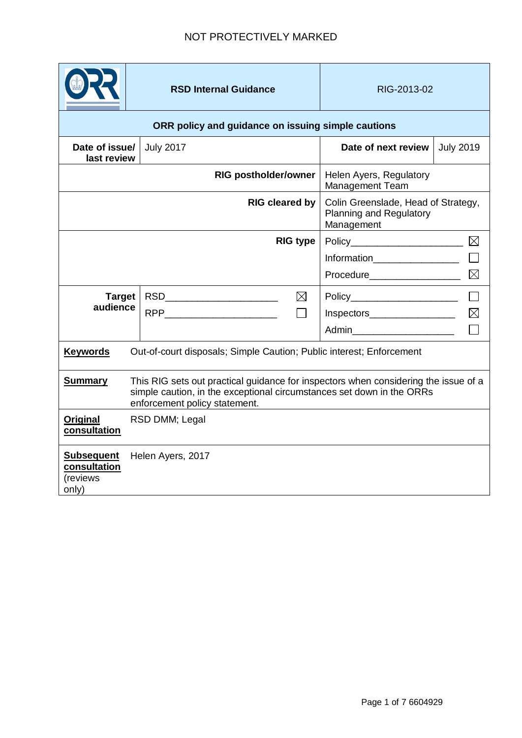|                                                                                                                                                                                                                 | <b>RSD Internal Guidance</b>  |             | RIG-2013-02                                                                  |                  |  |
|-----------------------------------------------------------------------------------------------------------------------------------------------------------------------------------------------------------------|-------------------------------|-------------|------------------------------------------------------------------------------|------------------|--|
| ORR policy and guidance on issuing simple cautions                                                                                                                                                              |                               |             |                                                                              |                  |  |
| Date of issue/<br>last review                                                                                                                                                                                   | <b>July 2017</b>              |             | Date of next review                                                          | <b>July 2019</b> |  |
| <b>RIG postholder/owner</b>                                                                                                                                                                                     |                               |             | Helen Ayers, Regulatory<br><b>Management Team</b>                            |                  |  |
| <b>RIG cleared by</b>                                                                                                                                                                                           |                               |             | Colin Greenslade, Head of Strategy,<br>Planning and Regulatory<br>Management |                  |  |
|                                                                                                                                                                                                                 | <b>RIG type</b>               |             | Policy_________________________                                              | $\boxtimes$      |  |
|                                                                                                                                                                                                                 |                               | Information |                                                                              |                  |  |
|                                                                                                                                                                                                                 |                               |             |                                                                              | $\boxtimes$      |  |
| <b>Target</b>                                                                                                                                                                                                   | RSD__________________________ | $\boxtimes$ | Policy________________________                                               |                  |  |
| audience                                                                                                                                                                                                        |                               | П           | $Inspectors$ $\qquad \qquad \qquad \qquad \qquad \qquad \qquad$              |                  |  |
|                                                                                                                                                                                                                 |                               |             | Admin________________________                                                |                  |  |
| <b>Keywords</b><br>Out-of-court disposals; Simple Caution; Public interest; Enforcement                                                                                                                         |                               |             |                                                                              |                  |  |
| This RIG sets out practical guidance for inspectors when considering the issue of a<br><b>Summary</b><br>simple caution, in the exceptional circumstances set down in the ORRs<br>enforcement policy statement. |                               |             |                                                                              |                  |  |
| <b>Original</b><br>consultation                                                                                                                                                                                 | RSD DMM; Legal                |             |                                                                              |                  |  |
| Helen Ayers, 2017<br><b>Subsequent</b><br>consultation<br>(reviews<br>only)                                                                                                                                     |                               |             |                                                                              |                  |  |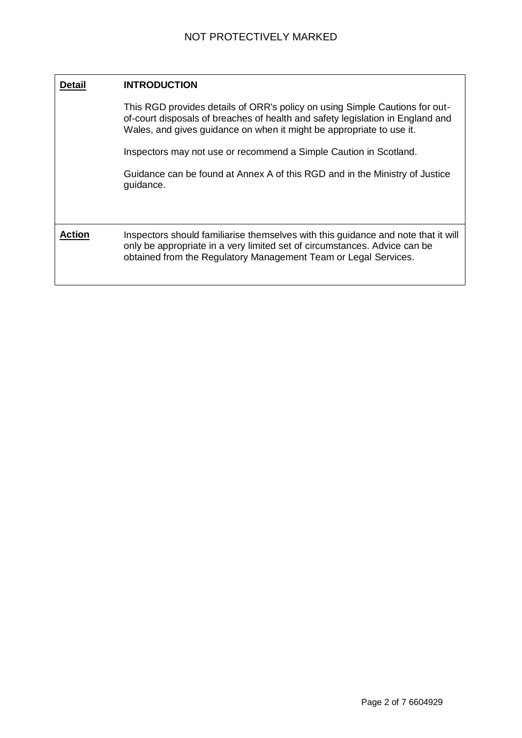| <b>Detail</b> | <b>INTRODUCTION</b>                                                                                                                                                                                                                   |  |  |
|---------------|---------------------------------------------------------------------------------------------------------------------------------------------------------------------------------------------------------------------------------------|--|--|
|               | This RGD provides details of ORR's policy on using Simple Cautions for out-<br>of-court disposals of breaches of health and safety legislation in England and<br>Wales, and gives guidance on when it might be appropriate to use it. |  |  |
|               | Inspectors may not use or recommend a Simple Caution in Scotland.                                                                                                                                                                     |  |  |
|               | Guidance can be found at Annex A of this RGD and in the Ministry of Justice<br>guidance.                                                                                                                                              |  |  |
| Action        | Inspectors should familiarise themselves with this guidance and note that it will<br>only be appropriate in a very limited set of circumstances. Advice can be<br>obtained from the Regulatory Management Team or Legal Services.     |  |  |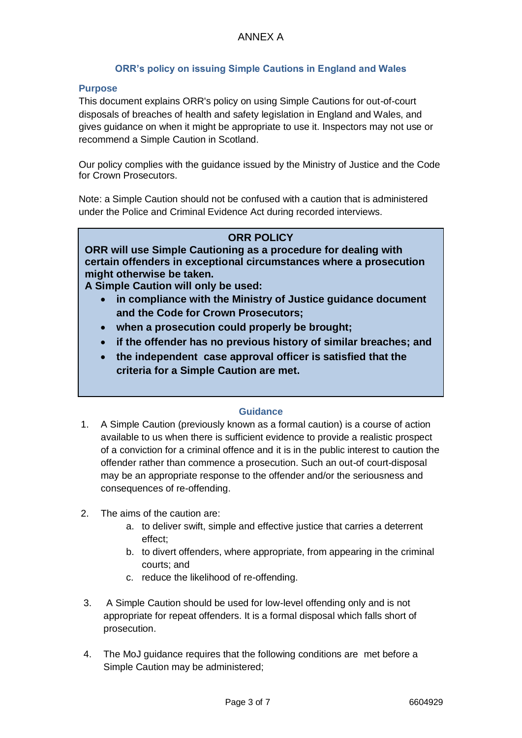# **ORR's policy on issuing Simple Cautions in England and Wales**

#### **Purpose**

This document explains ORR's policy on using Simple Cautions for out-of-court disposals of breaches of health and safety legislation in England and Wales, and gives guidance on when it might be appropriate to use it. Inspectors may not use or recommend a Simple Caution in Scotland.

Our policy complies with the guidance issued by the Ministry of Justice and the Code for Crown Prosecutors.

Note: a Simple Caution should not be confused with a caution that is administered under the Police and Criminal Evidence Act during recorded interviews.

## **ORR POLICY**

**ORR will use Simple Cautioning as a procedure for dealing with certain offenders in exceptional circumstances where a prosecution might otherwise be taken.**

**A Simple Caution will only be used:**

- **in compliance with the Ministry of Justice guidance document and the Code for Crown Prosecutors;**
- **when a prosecution could properly be brought;**
- **if the offender has no previous history of similar breaches; and**
- **the independent case approval officer is satisfied that the criteria for a Simple Caution are met.**

#### **Guidance**

- 1. A Simple Caution (previously known as a formal caution) is a course of action available to us when there is sufficient evidence to provide a realistic prospect of a conviction for a criminal offence and it is in the public interest to caution the offender rather than commence a prosecution. Such an out-of court-disposal may be an appropriate response to the offender and/or the seriousness and consequences of re-offending.
- 2. The aims of the caution are:
	- a. to deliver swift, simple and effective justice that carries a deterrent effect;
	- b. to divert offenders, where appropriate, from appearing in the criminal courts; and
	- c. reduce the likelihood of re-offending.
- 3. A Simple Caution should be used for low-level offending only and is not appropriate for repeat offenders. It is a formal disposal which falls short of prosecution.
- 4. The MoJ guidance requires that the following conditions are met before a Simple Caution may be administered;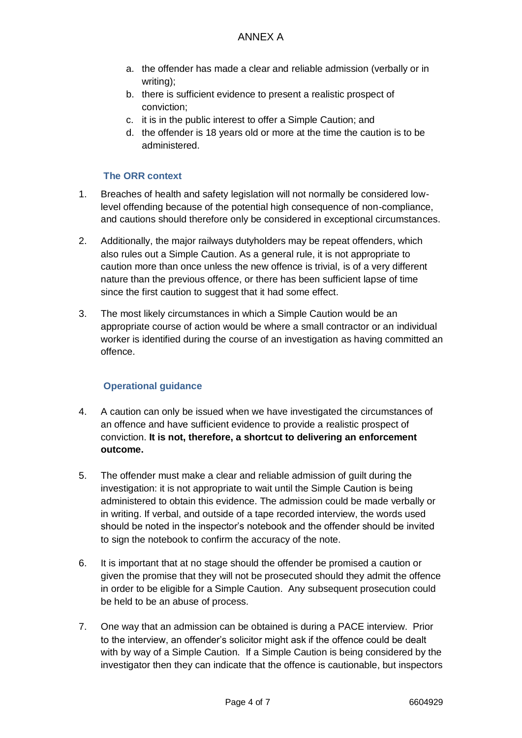- a. the offender has made a clear and reliable admission (verbally or in writing);
- b. there is sufficient evidence to present a realistic prospect of conviction;
- c. it is in the public interest to offer a Simple Caution; and
- d. the offender is 18 years old or more at the time the caution is to be administered.

## **The ORR context**

- 1. Breaches of health and safety legislation will not normally be considered lowlevel offending because of the potential high consequence of non-compliance, and cautions should therefore only be considered in exceptional circumstances.
- 2. Additionally, the major railways dutyholders may be repeat offenders, which also rules out a Simple Caution. As a general rule, it is not appropriate to caution more than once unless the new offence is trivial, is of a very different nature than the previous offence, or there has been sufficient lapse of time since the first caution to suggest that it had some effect.
- 3. The most likely circumstances in which a Simple Caution would be an appropriate course of action would be where a small contractor or an individual worker is identified during the course of an investigation as having committed an offence.

### **Operational guidance**

- 4. A caution can only be issued when we have investigated the circumstances of an offence and have sufficient evidence to provide a realistic prospect of conviction. **It is not, therefore, a shortcut to delivering an enforcement outcome.**
- 5. The offender must make a clear and reliable admission of guilt during the investigation: it is not appropriate to wait until the Simple Caution is being administered to obtain this evidence. The admission could be made verbally or in writing. If verbal, and outside of a tape recorded interview, the words used should be noted in the inspector's notebook and the offender should be invited to sign the notebook to confirm the accuracy of the note.
- 6. It is important that at no stage should the offender be promised a caution or given the promise that they will not be prosecuted should they admit the offence in order to be eligible for a Simple Caution. Any subsequent prosecution could be held to be an abuse of process.
- 7. One way that an admission can be obtained is during a PACE interview. Prior to the interview, an offender's solicitor might ask if the offence could be dealt with by way of a Simple Caution. If a Simple Caution is being considered by the investigator then they can indicate that the offence is cautionable, but inspectors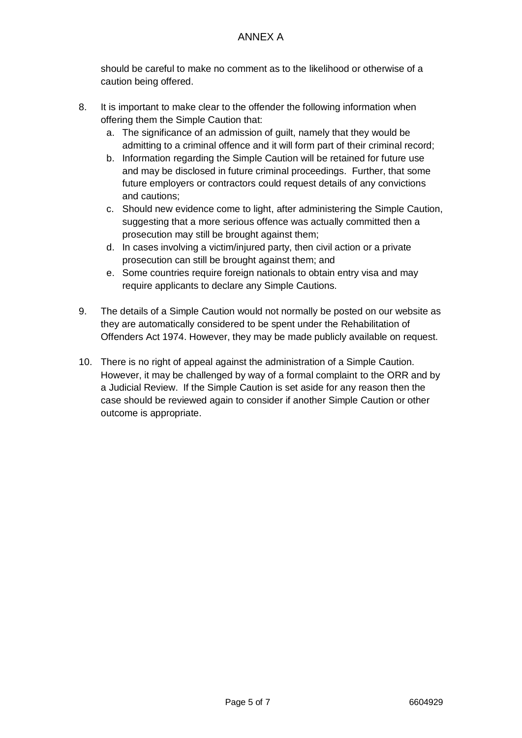should be careful to make no comment as to the likelihood or otherwise of a caution being offered.

- 8. It is important to make clear to the offender the following information when offering them the Simple Caution that:
	- a. The significance of an admission of guilt, namely that they would be admitting to a criminal offence and it will form part of their criminal record;
	- b. Information regarding the Simple Caution will be retained for future use and may be disclosed in future criminal proceedings. Further, that some future employers or contractors could request details of any convictions and cautions;
	- c. Should new evidence come to light, after administering the Simple Caution, suggesting that a more serious offence was actually committed then a prosecution may still be brought against them;
	- d. In cases involving a victim/injured party, then civil action or a private prosecution can still be brought against them; and
	- e. Some countries require foreign nationals to obtain entry visa and may require applicants to declare any Simple Cautions.
- 9. The details of a Simple Caution would not normally be posted on our website as they are automatically considered to be spent under the Rehabilitation of Offenders Act 1974. However, they may be made publicly available on request.
- 10. There is no right of appeal against the administration of a Simple Caution. However, it may be challenged by way of a formal complaint to the ORR and by a Judicial Review. If the Simple Caution is set aside for any reason then the case should be reviewed again to consider if another Simple Caution or other outcome is appropriate.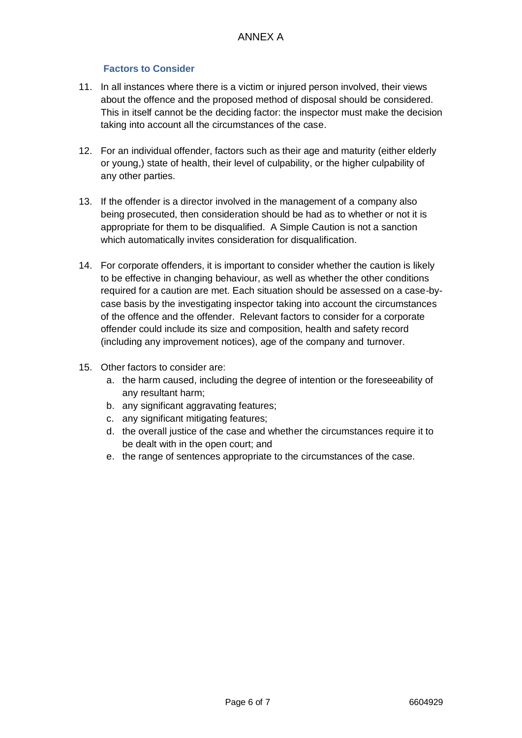## **Factors to Consider**

- 11. In all instances where there is a victim or injured person involved, their views about the offence and the proposed method of disposal should be considered. This in itself cannot be the deciding factor: the inspector must make the decision taking into account all the circumstances of the case.
- 12. For an individual offender, factors such as their age and maturity (either elderly or young,) state of health, their level of culpability, or the higher culpability of any other parties.
- 13. If the offender is a director involved in the management of a company also being prosecuted, then consideration should be had as to whether or not it is appropriate for them to be disqualified. A Simple Caution is not a sanction which automatically invites consideration for disqualification.
- 14. For corporate offenders, it is important to consider whether the caution is likely to be effective in changing behaviour, as well as whether the other conditions required for a caution are met. Each situation should be assessed on a case-bycase basis by the investigating inspector taking into account the circumstances of the offence and the offender. Relevant factors to consider for a corporate offender could include its size and composition, health and safety record (including any improvement notices), age of the company and turnover.
- 15. Other factors to consider are:
	- a. the harm caused, including the degree of intention or the foreseeability of any resultant harm;
	- b. any significant aggravating features;
	- c. any significant mitigating features;
	- d. the overall justice of the case and whether the circumstances require it to be dealt with in the open court; and
	- e. the range of sentences appropriate to the circumstances of the case.